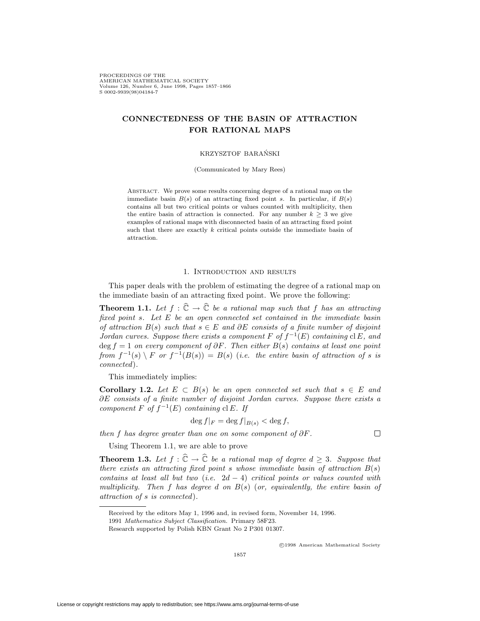PROCEEDINGS OF THE AMERICAN MATHEMATICAL SOCIETY Volume 126, Number 6, June 1998, Pages 1857–1866<br>S.0002-9939(98)04184-7 s 0002-9939(98)

# **CONNECTEDNESS OF THE BASIN OF ATTRACTION FOR RATIONAL MAPS**

#### KRZYSZTOF BARANSKI ´

(Communicated by Mary Rees)

ABSTRACT. We prove some results concerning degree of a rational map on the immediate basin  $B(s)$  of an attracting fixed point *s*. In particular, if  $B(s)$ contains all but two critical points or values counted with multiplicity, then the entire basin of attraction is connected. For any number  $k \geq 3$  we give examples of rational maps with disconnected basin of an attracting fixed point such that there are exactly *k* critical points outside the immediate basin of attraction.

## 1. Introduction and results

This paper deals with the problem of estimating the degree of a rational map on the immediate basin of an attracting fixed point. We prove the following:

**Theorem 1.1.** Let  $f : \hat{\mathbb{C}} \to \hat{\mathbb{C}}$  be a rational map such that f has an attracting *fixed point s. Let E be an open connected set contained in the immediate basin of attraction*  $B(s)$  *such that*  $s \in E$  *and*  $\partial E$  *consists of a finite number of disjoint Jordan curves. Suppose there exists a component*  $F$  *of*  $f^{-1}(E)$  *containing* cl  $E$ *, and* deg *f* = 1 *on every component of ∂F. Then either B*(*s*) *contains at least one point from*  $f^{-1}(s) \setminus F$  *or*  $f^{-1}(B(s)) = B(s)$  (*i.e. the entire basin of attraction of s is connected*)*.*

This immediately implies:

**Corollary 1.2.** Let  $E \subset B(s)$  be an open connected set such that  $s \in E$  and *∂E consists of a finite number of disjoint Jordan curves. Suppose there exists a component*  $F$  *of*  $f^{-1}(E)$  *containing* cl  $E$ *. If* 

$$
\deg f|_F = \deg f|_{B(s)} < \deg f,
$$

*then f has degree greater than one on some component of ∂F.*

Using Theorem 1.1, we are able to prove

**Theorem 1.3.** Let  $f : \hat{\mathbb{C}} \to \hat{\mathbb{C}}$  be a rational map of degree  $d \geq 3$ . Suppose that *there exists an attracting fixed point s whose immediate basin of attraction*  $B(s)$ *contains at least all but two* (*i.e.* 2*d −* 4) *critical points or values counted with multiplicity. Then f has degree d on B*(*s*) (*or, equivalently, the entire basin of attraction of s is connected*)*.*

<sup>c</sup> 1998 American Mathematical Society

 $\Box$ 

Received by the editors May 1, 1996 and, in revised form, November 14, 1996.

<sup>1991</sup> Mathematics Subject Classification. Primary 58F23.

Research supported by Polish KBN Grant No 2 P301 01307.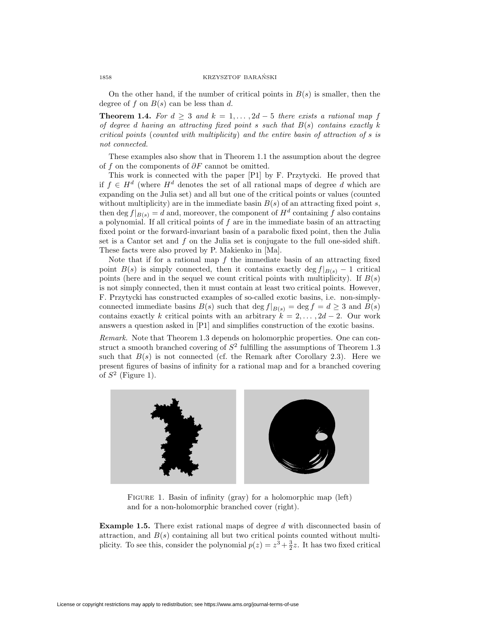On the other hand, if the number of critical points in  $B(s)$  is smaller, then the degree of  $f$  on  $B(s)$  can be less than  $d$ .

**Theorem 1.4.** For  $d \geq 3$  and  $k = 1, \ldots, 2d - 5$  there exists a rational map f *of degree d having an attracting fixed point s such that B*(*s*) *contains exactly k critical points* (*counted with multiplicity*) *and the entire basin of attraction of s is not connected.*

These examples also show that in Theorem 1.1 the assumption about the degree of *f* on the components of *∂F* cannot be omitted.

This work is connected with the paper [P1] by F. Przytycki. He proved that if  $f$  ∈  $H^d$  (where  $H^d$  denotes the set of all rational maps of degree *d* which are expanding on the Julia set) and all but one of the critical points or values (counted without multiplicity) are in the immediate basin  $B(s)$  of an attracting fixed point *s*, then deg  $f|_{B(s)} = d$  and, moreover, the component of  $H^d$  containing  $\tilde{f}$  also contains a polynomial. If all critical points of *f* are in the immediate basin of an attracting fixed point or the forward-invariant basin of a parabolic fixed point, then the Julia set is a Cantor set and *f* on the Julia set is conjugate to the full one-sided shift. These facts were also proved by P. Makienko in [Ma].

Note that if for a rational map *f* the immediate basin of an attracting fixed point  $B(s)$  is simply connected, then it contains exactly deg  $f|_{B(s)} - 1$  critical points (here and in the sequel we count critical points with multiplicity). If *B*(*s*) is not simply connected, then it must contain at least two critical points. However, F. Przytycki has constructed examples of so-called exotic basins, i.e. non-simplyconnected immediate basins  $B(s)$  such that deg  $f|_{B(s)} = \deg f = d \geq 3$  and  $B(s)$ contains exactly *k* critical points with an arbitrary  $k = 2, \ldots, 2d - 2$ . Our work answers a question asked in [P1] and simplifies construction of the exotic basins.

*Remark.* Note that Theorem 1.3 depends on holomorphic properties. One can construct a smooth branched covering of  $S<sup>2</sup>$  fulfilling the assumptions of Theorem 1.3 such that  $B(s)$  is not connected (cf. the Remark after Corollary 2.3). Here we present figures of basins of infinity for a rational map and for a branched covering of *S*<sup>2</sup> (Figure 1).



Figure 1. Basin of infinity (gray) for a holomorphic map (left) and for a non-holomorphic branched cover (right).

**Example 1.5.** There exist rational maps of degree *d* with disconnected basin of attraction, and  $B(s)$  containing all but two critical points counted without multiplicity. To see this, consider the polynomial  $p(z) = z^3 + \frac{3}{2}z$ . It has two fixed critical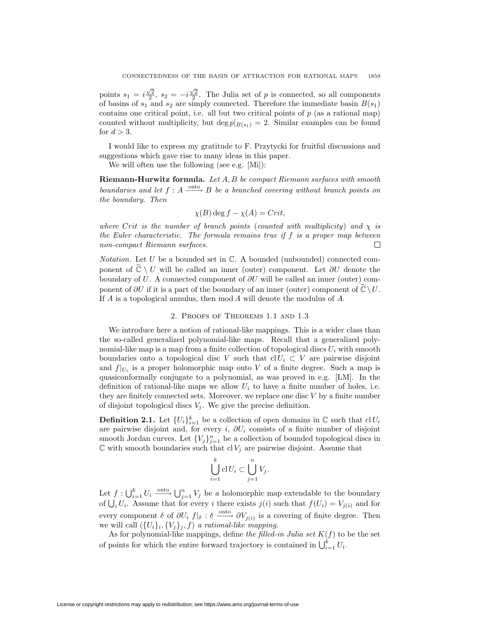points  $s_1 = i\frac{\sqrt{2}}{2}$ ,  $s_2 = -i\frac{\sqrt{2}}{2}$ . The Julia set of *p* is connected, so all components of basins of  $s_1$  and  $s_2$  are simply connected. Therefore the immediate basin  $B(s_1)$ contains one critical point, i.e. all but two critical points of  $p$  (as a rational map) counted without multiplicity, but deg  $p|_{B(s_1)} = 2$ . Similar examples can be found for  $d > 3$ .

I would like to express my gratitude to F. Przytycki for fruitful discussions and suggestions which gave rise to many ideas in this paper.

We will often use the following (see e.g. [Mi]):

**Riemann-Hurwitz formula.** *Let A, B be compact Riemann surfaces with smooth boundaries and let*  $f : A \xrightarrow{\text{onto}} B$  *be a branched covering without branch points on the boundary. Then*

$$
\chi(B) \deg f - \chi(A) = Crit,
$$

*where Crit is the number of branch points* (*counted with multiplicity*) *and*  $\chi$  *is the Euler characteristic. The formula remains true if f is a proper map between non-compact Riemann surfaces.* □

*Notation.* Let *U* be a bounded set in  $\mathbb{C}$ . A bounded (unbounded) connected component of  $\hat{\mathbb{C}} \setminus U$  will be called an inner (outer) component. Let  $\partial U$  denote the boundary of *U*. A connected component of *∂U* will be called an inner (outer) component of  $\partial U$  if it is a part of the boundary of an inner (outer) component of  $\hat{\mathbb{C}} \setminus U$ . If *A* is a topological annulus, then mod *A* will denote the modulus of *A*.

### 2. Proofs of Theorems 1.1 and 1.3

We introduce here a notion of rational-like mappings. This is a wider class than the so-called generalized polynomial-like maps. Recall that a generalized polynomial-like map is a map from a finite collection of topological discs  $U_i$  with smooth boundaries onto a topological disc *V* such that  $\text{cl } U_i \subset V$  are pairwise disjoint and  $f|_{U_i}$  is a proper holomorphic map onto V of a finite degree. Such a map is quasiconformally conjugate to a polynomial, as was proved in e.g. [LM]. In the definition of rational-like maps we allow  $U_i$  to have a finite number of holes, i.e. they are finitely connected sets. Moreover, we replace one disc *V* by a finite number of disjoint topological discs  $V_i$ . We give the precise definition.

**Definition 2.1.** Let  ${U_i}_{i=1}^k$  be a collection of open domains in  $\mathbb{C}$  such that  $\text{cl } U_i$ are pairwise disjoint and, for every *i*, *∂U<sup>i</sup>* consists of a finite number of disjoint smooth Jordan curves. Let  ${V_j}_{j=1}^n$  be a collection of bounded topological discs in  $\mathbb C$  with smooth boundaries such that cl  $V_j$  are pairwise disjoint. Assume that

$$
\bigcup_{i=1}^k \mathrm{cl}\, U_i \subset \bigcup_{j=1}^n V_j.
$$

Let  $f: \bigcup_{i=1}^k U_i \xrightarrow{\text{onto}} \bigcup_{j=1}^n V_j$  be a holomorphic map extendable to the boundary of  $\bigcup_i U_i$ . Assume that for every *i* there exists  $j(i)$  such that  $f(U_i) = V_{j(i)}$  and for every component  $\delta$  of  $\partial U_i$   $f|_{\delta}$  :  $\delta \xrightarrow{\text{onto}} \partial V_{j(i)}$  is a covering of finite degree. Then we will call  $({U_i})_i, {V_j}_j, f$  *a rational-like mapping.* 

As for polynomial-like mappings, define *the filled-in Julia set*  $K(f)$  to be the set of points for which the entire forward trajectory is contained in  $\bigcup_{i=1}^{k} U_i$ .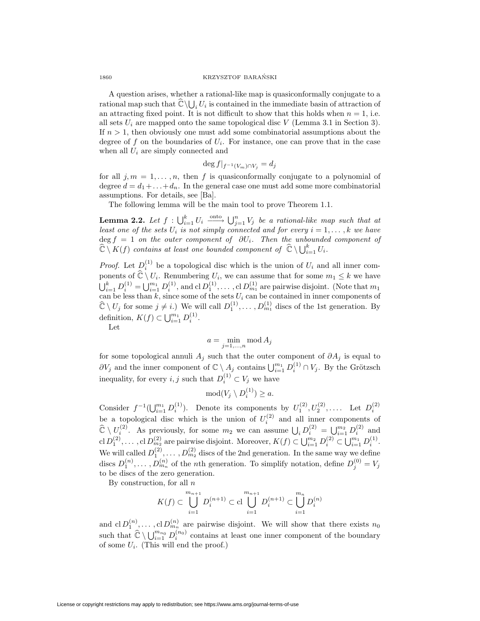A question arises, whether a rational-like map is quasiconformally conjugate to a rational map such that  $\widehat{\mathbb{C}} \setminus \bigcup_i U_i$  is contained in the immediate basin of attraction of an attracting fixed point. It is not difficult to show that this holds when  $n = 1$ , i.e. all sets  $U_i$  are mapped onto the same topological disc  $V$  (Lemma 3.1 in Section 3). If *n >* 1, then obviously one must add some combinatorial assumptions about the degree of  $f$  on the boundaries of  $U_i$ . For instance, one can prove that in the case when all *U<sup>i</sup>* are simply connected and

$$
\deg f|_{f^{-1}(V_m)\cap V_j}=d_j
$$

for all  $j, m = 1, \ldots, n$ , then f is quasiconformally conjugate to a polynomial of degree  $d = d_1 + \ldots + d_n$ . In the general case one must add some more combinatorial assumptions. For details, see [Ba].

The following lemma will be the main tool to prove Theorem 1.1.

**Lemma 2.2.** Let  $f: \bigcup_{i=1}^{k} U_i \xrightarrow{\text{onto}} \bigcup_{j=1}^{n} V_j$  be a rational-like map such that at *least one of the sets*  $U_i$  *is not simply connected and for every*  $i = 1, \ldots, k$  *we have* deg *f* = 1 *on the outer component of ∂Ui. Then the unbounded component of*  $\widehat{\mathbb{C}} \setminus K(f)$  *contains at least one bounded component of*  $\widehat{\mathbb{C}} \setminus \bigcup_{i=1}^k U_i$ .

*Proof.* Let  $D_i^{(1)}$  be a topological disc which is the union of  $U_i$  and all inner components of  $\mathbb{C} \setminus U_i$ . Renumbering  $U_i$ , we can assume that for some  $m_1 \leq k$  we have  $\bigcup_{i=1}^{k} D_i^{(1)} = \bigcup_{i=1}^{m_1} D_i^{(1)}$ , and cl  $D_1^{(1)}$ , ..., cl  $D_{m_1}^{(1)}$  are pairwise disjoint. (Note that  $m_1$ can be less than *k*, since some of the sets *U<sup>i</sup>* can be contained in inner components of  $\hat{\mathbb{C}} \setminus U_j$  for some  $j \neq i$ .) We will call  $D_1^{(1)}, \ldots, D_{m_1}^{(1)}$  discs of the 1st generation. By definition,  $K(f) \subset \bigcup_{i=1}^{m_1} D_i^{(1)}$ .

Let

$$
a = \min_{j=1,\dots,n} \operatorname{mod} A_j
$$

for some topological annuli  $A_j$  such that the outer component of  $\partial A_j$  is equal to *∂V<sub>j</sub>* and the inner component of  $\mathbb{C} \setminus A_j$  contains  $\bigcup_{i=1}^{m_1} D_i^{(1)} \cap V_j$ . By the Grötzsch inequality, for every *i*, *j* such that  $D_i^{(1)} \subset V_j$  we have

$$
mod(V_j \setminus D_i^{(1)}) \ge a.
$$

Consider  $f^{-1}(\bigcup_{i=1}^{m_1} D_i^{(1)})$ . Denote its components by  $U_1^{(2)}, U_2^{(2)}, \ldots$ . Let  $D_i^{(2)}$ be a topological disc which is the union of  $U_i^{(2)}$  and all inner components of  $\hat{\mathbb{C}} \setminus U_i^{(2)}$ . As previously, for some  $m_2$  we can assume  $\bigcup_i D_i^{(2)} = \bigcup_{i=1}^{m_2} D_i^{(2)}$  and  $\text{cl } D_1^{(2)}, \ldots, \text{cl } D_{m_2}^{(2)}$  are pairwise disjoint. Moreover,  $K(f) \subset \bigcup_{i=1}^{m_2} D_i^{(2)} \subset \bigcup_{i=1}^{m_1} D_i^{(1)}$ . We will called  $D_1^{(2)}, \ldots, D_{m_2}^{(2)}$  discs of the 2nd generation. In the same way we define discs  $D_1^{(n)}, \ldots, D_{m_n}^{(n)}$  of the *n*th generation. To simplify notation, define  $D_j^{(0)} = V_j$ to be discs of the zero generation.

By construction, for all *n*

$$
K(f) \subset \bigcup_{i=1}^{m_{n+1}} D_i^{(n+1)} \subset \text{cl} \bigcup_{i=1}^{m_{n+1}} D_i^{(n+1)} \subset \bigcup_{i=1}^{m_n} D_i^{(n)}
$$

and  $\text{cl } D_1^{(n)}, \ldots, \text{cl } D_{m_n}^{(n)}$  are pairwise disjoint. We will show that there exists  $n_0$ such that  $\hat{\mathbb{C}} \setminus \bigcup_{i=1}^{m_{n_0}} D_i^{(n_0)}$  contains at least one inner component of the boundary of some *Ui*. (This will end the proof.)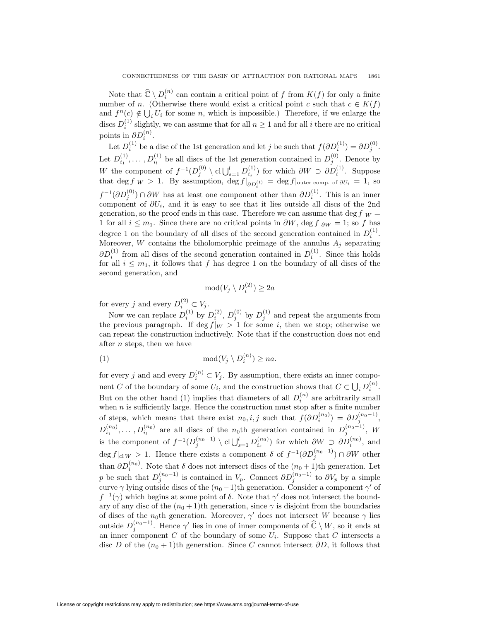Note that  $\widehat{\mathbb{C}} \setminus D_i^{(n)}$  can contain a critical point of *f* from  $K(f)$  for only a finite number of *n*. (Otherwise there would exist a critical point *c* such that  $c \in K(f)$ and  $f^{n}(c) \notin \bigcup_{i} U_{i}$  for some *n*, which is impossible.) Therefore, if we enlarge the discs  $D_i^{(1)}$  slightly, we can assume that for all  $n \geq 1$  and for all *i* there are no critical points in  $\partial D_i^{(n)}$ .

Let  $D_i^{(1)}$  be a disc of the 1st generation and let *j* be such that  $f(\partial D_i^{(1)}) = \partial D_i^{(0)}$ . Let  $D_{i_1}^{(1)}, \ldots, D_{i_l}^{(1)}$  be all discs of the 1st generation contained in  $D_j^{(0)}$ . Denote by *W* the component of  $f^{-1}(D_j^{(0)} \setminus \text{cl}\bigcup_{s=1}^l D_{i_s}^{(1)})$  for which  $\partial W \supset \partial D_i^{(1)}$ . Suppose that deg  $f|_W > 1$ . By assumption, deg  $f|_{\partial D_i^{(1)}} = \text{deg } f|_{\text{outer comp. of } \partial U_i} = 1$ , so *f*  $^{-1}$ ( $\partial D_i^{(0)}$ ) ∩  $\partial W$  has at least one component other than  $\partial D_i^{(1)}$ . This is an inner component of  $\partial U_i$ , and it is easy to see that it lies outside all discs of the 2nd generation, so the proof ends in this case. Therefore we can assume that deg  $f|_W =$ 1 for all  $i \leq m_1$ . Since there are no critical points in  $\partial W$ , deg  $f|_{\partial W} = 1$ ; so *f* has degree 1 on the boundary of all discs of the second generation contained in  $D_i^{(1)}$ . Moreover, *W* contains the biholomorphic preimage of the annulus  $A_i$  separating  $\partial D_i^{(1)}$  from all discs of the second generation contained in  $D_i^{(1)}$ . Since this holds for all  $i \leq m_1$ , it follows that f has degree 1 on the boundary of all discs of the second generation, and

$$
mod(V_j \setminus D_i^{(2)}) \ge 2a
$$

for every *j* and every  $D_i^{(2)} \subset V_j$ .

Now we can replace  $D_i^{(1)}$  by  $D_i^{(2)}$ ,  $D_i^{(0)}$  by  $D_i^{(1)}$  and repeat the arguments from the previous paragraph. If deg  $f|_W > 1$  for some *i*, then we stop; otherwise we can repeat the construction inductively. Note that if the construction does not end after *n* steps, then we have

(1) 
$$
\mod(V_j \setminus D_i^{(n)}) \ge na.
$$

for every *j* and and every  $D_i^{(n)} \subset V_j$ . By assumption, there exists an inner component *C* of the boundary of some  $U_i$ , and the construction shows that  $C \subset \bigcup_i D_i^{(n)}$ . But on the other hand (1) implies that diameters of all  $D_i^{(n)}$  are arbitrarily small when  $n$  is sufficiently large. Hence the construction must stop after a finite number of steps, which means that there exist  $n_0, i, j$  such that  $f(\partial D_i^{(n_0)}) = \partial D_i^{(n_0-1)}$ ,  $D_{i_1}^{(n_0)}, \ldots, D_{i_l}^{(n_0)}$  are all discs of the *n*<sub>0</sub>th generation contained in  $D_j^{(n_0-1)}$ , *W* is the component of  $f^{-1}(D_j^{(n_0-1)} \setminus \text{cl}\bigcup_{s=1}^l D_{i_s}^{(n_0)})$  for which  $\partial W \supset \partial D_i^{(n_0)}$ , and  $\deg f|_{\text{cl }W} > 1$ . Hence there exists a component *δ* of  $f^{-1}(\partial D_j^{(n_0-1)}) \cap \partial W$  other than  $\partial D_i^{(n_0)}$ . Note that  $\delta$  does not intersect discs of the  $(n_0+1)$ th generation. Let *p* be such that  $D_j^{(n_0-1)}$  is contained in *V<sub>p</sub>*. Connect  $\partial D_j^{(n_0-1)}$  to  $\partial V_p$  by a simple curve  $\gamma$  lying outside discs of the  $(n_0 - 1)$ th generation. Consider a component  $\gamma'$  of  $f^{-1}(\gamma)$  which begins at some point of *δ*. Note that  $\gamma'$  does not intersect the boundary of any disc of the  $(n_0 + 1)$ th generation, since  $\gamma$  is disjoint from the boundaries of discs of the *n*<sub>0</sub>th generation. Moreover,  $\gamma'$  does not intersect *W* because  $\gamma$  lies outside  $D_j^{(n_0-1)}$ . Hence  $\gamma'$  lies in one of inner components of  $\widehat{\mathbb{C}} \setminus W$ , so it ends at an inner component *C* of the boundary of some  $U_i$ . Suppose that *C* intersects a disc *D* of the  $(n_0 + 1)$ th generation. Since *C* cannot intersect  $\partial D$ , it follows that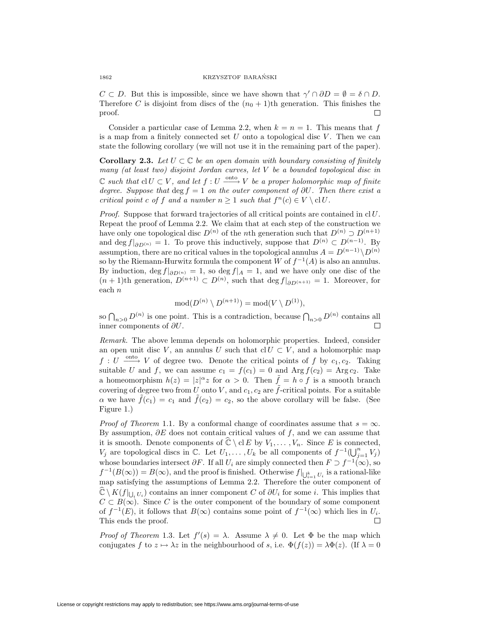*C*  $\subset$  *D*. But this is impossible, since we have shown that  $\gamma' \cap \partial D = \emptyset = \delta \cap D$ . Therefore *C* is disjoint from discs of the  $(n_0 + 1)$ th generation. This finishes the proof.  $\Box$ 

Consider a particular case of Lemma 2.2, when  $k = n = 1$ . This means that *f* is a map from a finitely connected set *U* onto a topological disc *V* . Then we can state the following corollary (we will not use it in the remaining part of the paper).

**Corollary 2.3.** Let  $U \subset \mathbb{C}$  be an open domain with boundary consisting of finitely *many (at least two) disjoint Jordan curves, let V be a bounded topological disc in*  $\mathbb{C}$  *such that*  $\text{cl } U \subset V$ , and let  $f: U \xrightarrow{\text{onto }} V$  be a proper holomorphic map of finite *degree. Suppose that*  $\deg f = 1$  *on the outer component of*  $\partial U$ *. Then there exist a critical point c of f and a number*  $n \geq 1$  *such that*  $f^{n}(c) \in V \setminus clU$ *.* 

*Proof.* Suppose that forward trajectories of all critical points are contained in cl*U*. Repeat the proof of Lemma 2.2. We claim that at each step of the construction we have only one topological disc  $D^{(n)}$  of the *n*th generation such that  $D^{(n)} \supset D^{(n+1)}$ and deg  $f|_{\partial D^{(n)}} = 1$ . To prove this inductively, suppose that  $D^{(n)} \subset D^{(n-1)}$ . By assumption, there are no critical values in the topological annulus  $A = D^{(n-1)} \setminus D^{(n)}$ so by the Riemann-Hurwitz formula the component *W* of  $f^{-1}(A)$  is also an annulus. By induction,  $\deg f|_{\partial D^{(n)}} = 1$ , so  $\deg f|_A = 1$ , and we have only one disc of the  $(n + 1)$ th generation,  $D^{(n+1)} \subset D^{(n)}$ , such that deg  $f|_{\partial D^{(n+1)}} = 1$ . Moreover, for each *n*

$$
\mathrm{mod}(D^{(n)} \setminus D^{(n+1)}) = \mathrm{mod}(V \setminus D^{(1)}),
$$

so  $\bigcap_{n>0} D^{(n)}$  is one point. This is a contradiction, because  $\bigcap_{n>0} D^{(n)}$  contains all inner components of *∂U*. □

*Remark.* The above lemma depends on holomorphic properties. Indeed, consider an open unit disc *V*, an annulus *U* such that  $\text{cl } U \subset V$ , and a holomorphic map  $f: U \longrightarrow V$  of degree two. Denote the critical points of  $f$  by  $c_1, c_2$ . Taking suitable *U* and *f*, we can assume  $c_1 = f(c_1) = 0$  and  $\text{Arg } f(c_2) = \text{Arg } c_2$ . Take a homeomorphism  $h(z) = |z|^{\alpha} z$  for  $\alpha > 0$ . Then  $\tilde{f} = h \circ f$  is a smooth branch covering of degree two from *U* onto *V*, and  $c_1$ ,  $c_2$  are  $\tilde{f}$ -critical points. For a suitable *α* we have  $f(c_1) = c_1$  and  $f(c_2) = c_2$ , so the above corollary will be false. (See Figure 1.)

*Proof of Theorem* 1.1*.* By a conformal change of coordinates assume that  $s = \infty$ . By assumption, *∂E* does not contain critical values of *f*, and we can assume that it is smooth. Denote components of  $\hat{\mathbb{C}} \setminus \text{cl } E$  by  $V_1, \ldots, V_n$ . Since *E* is connected, *V*<sup>*j*</sup> are topological discs in C. Let *U*<sub>1</sub>*,...*, *U*<sub>*k*</sub> be all components of  $f^{-1}(\bigcup_{j=1}^{n} V_j)$ whose boundaries intersect  $\partial F$ . If all  $U_i$  are simply connected then  $F \supset f^{-1}(\infty)$ , so  $f^{-1}(B(\infty)) = B(\infty)$ , and the proof is finished. Otherwise  $f|_{\bigcup_{i=1}^k U_i}$  is a rational-like map satisfying the assumptions of Lemma 2.2. Therefore the outer component of  $\mathbb{C} \setminus K(f|_{\bigcup_i U_i})$  contains an inner component *C* of  $\partial U_i$  for some *i*. This implies that  $C \subset B(\infty)$ . Since *C* is the outer component of the boundary of some component of  $f^{-1}(E)$ , it follows that  $B(\infty)$  contains some point of  $f^{-1}(\infty)$  which lies in  $U_i$ . This ends the proof.  $\Box$ 

*Proof of Theorem* 1.3. Let  $f'(s) = \lambda$ . Assume  $\lambda \neq 0$ . Let  $\Phi$  be the map which conjugates *f* to  $z \mapsto \lambda z$  in the neighbourhood of *s*, i.e.  $\Phi(f(z)) = \lambda \Phi(z)$ . (If  $\lambda = 0$ )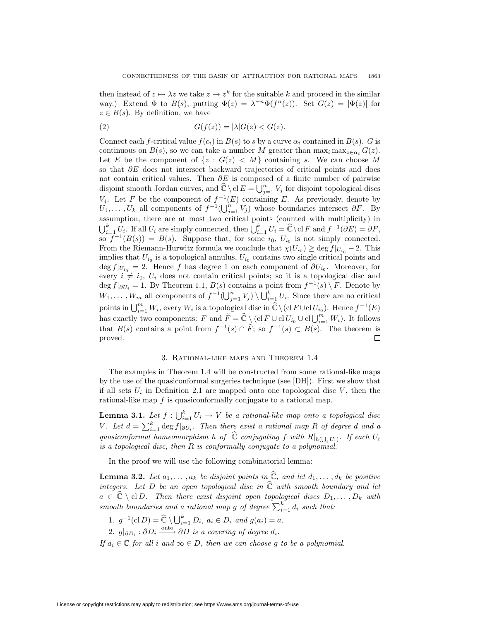then instead of  $z \mapsto \lambda z$  we take  $z \mapsto z^k$  for the suitable *k* and proceed in the similar way.) Extend  $\Phi$  to  $B(s)$ , putting  $\Phi(z) = \lambda^{-n} \Phi(f^n(z))$ . Set  $G(z) = |\Phi(z)|$  for  $z \in B(s)$ . By definition, we have

$$
(2) \tG(f(z)) = |\lambda|G(z) < G(z).
$$

Connect each *f*-critical value  $f(c_i)$  in  $B(s)$  to *s* by a curve  $\alpha_i$  contained in  $B(s)$ . *G* is continuous on  $B(s)$ , so we can take a number *M* greater than  $\max_i \max_{z \in \alpha_i} G(z)$ . Let *E* be the component of  $\{z : G(z) \leq M\}$  containing *s*. We can choose M so that *∂E* does not intersect backward trajectories of critical points and does not contain critical values. Then *∂E* is composed of a finite number of pairwise disjoint smooth Jordan curves, and  $\hat{\mathbb{C}} \setminus \text{cl } E = \bigcup_{j=1}^{n} V_j$  for disjoint topological discs *V*<sub>*j*</sub>. Let *F* be the component of  $f^{-1}(E)$  containing *E*. As previously, denote by  $U_1, \ldots, U_k$  all components of  $f^{-1}(\bigcup_{j=1}^n V_j)$  whose boundaries intersect  $\partial F$ . By assumption, there are at most two critical points (counted with multiplicity) in  $\bigcup_{i=1}^{k} U_i$ . If all  $U_i$  are simply connected, then  $\bigcup_{i=1}^{k} U_i = \widehat{\mathbb{C}} \setminus \text{cl } F$  and  $f^{-1}(\partial E) = \partial F$ , so  $f^{-1}(B(s)) = B(s)$ . Suppose that, for some  $i_0$ ,  $U_{i_0}$  is not simply connected. From the Riemann-Hurwitz formula we conclude that  $\chi(U_{i_0}) \geq \deg f|_{U_{i_0}} - 2$ . This implies that  $U_{i_0}$  is a topological annulus,  $U_{i_0}$  contains two single critical points and  $\deg f|_{U_{i_0}} = 2$ . Hence *f* has degree 1 on each component of  $\partial U_{i_0}$ . Moreover, for every  $i \neq i_0$ ,  $U_i$  does not contain critical points; so it is a topological disc and  $\deg f|_{\partial U_i} = 1$ . By Theorem 1.1,  $B(s)$  contains a point from  $f^{-1}(s) \setminus F$ . Denote by  $W_1, \ldots, W_m$  all components of  $f^{-1}(\bigcup_{j=1}^n V_j) \setminus \bigcup_{i=1}^k U_i$ . Since there are no critical points in  $\bigcup_{i=1}^m W_i$ , every  $W_i$  is a topological disc in  $\hat{\mathbb{C}} \setminus (\text{cl } F \cup \text{cl } U_{i_0})$ . Hence  $f^{-1}(E)$ has exactly two components: *F* and  $\tilde{F} = \hat{\mathbb{C}} \setminus (\text{cl } F \cup \text{cl } U_{i_0} \cup \text{cl } \bigcup_{i=1}^m W_i)$ . It follows that  $B(s)$  contains a point from  $f^{-1}(s) \cap \tilde{F}$ ; so  $f^{-1}(s) \subset B(s)$ . The theorem is proved.  $\Box$ 

#### 3. Rational-like maps and Theorem 1.4

The examples in Theorem 1.4 will be constructed from some rational-like maps by the use of the quasiconformal surgeries technique (see [DH]). First we show that if all sets  $U_i$  in Definition 2.1 are mapped onto one topological disc  $V$ , then the rational-like map *f* is quasiconformally conjugate to a rational map.

**Lemma 3.1.** Let  $f: \bigcup_{i=1}^k U_i \to V$  be a rational-like map onto a topological disc *V*. Let  $d = \sum_{i=1}^{k} \deg f|_{\partial U_i}$ . Then there exist a rational map R of degree *d* and a *quasiconformal homeomorphism h of*  $\mathbb C$  *conjugating f with*  $R|_{h(\bigcup_i U_i)}$ *. If each*  $U_i$ *is a topological disc, then R is conformally conjugate to a polynomial.*

In the proof we will use the following combinatorial lemma:

**Lemma 3.2.** Let  $a_1, \ldots, a_k$  be disjoint points in  $\widehat{\mathbb{C}}$ *, and let*  $d_1, \ldots, d_k$  be positive *integers. Let D be an open topological disc in* Cb *with smooth boundary and let*  $a \in \mathbb{C} \setminus \text{cl } D$ *. Then there exist disjoint open topological discs*  $D_1, \ldots, D_k$  *with smooth boundaries and a rational map g of degree*  $\sum_{i=1}^{k} d_i$  *such that:* 

- 1.  $g^{-1}(c \mid D) = \hat{C} \setminus \bigcup_{i=1}^{k} D_i, a_i \in D_i \text{ and } g(a_i) = a.$
- $2.$   $g|_{\partial D_i} : \partial D_i \xrightarrow{\text{onto}} \partial D$  *is a covering of degree*  $d_i$ *.*

*If*  $a_i \in \mathbb{C}$  *for all i and*  $\infty \in D$ *, then we can choose g to be a polynomial.*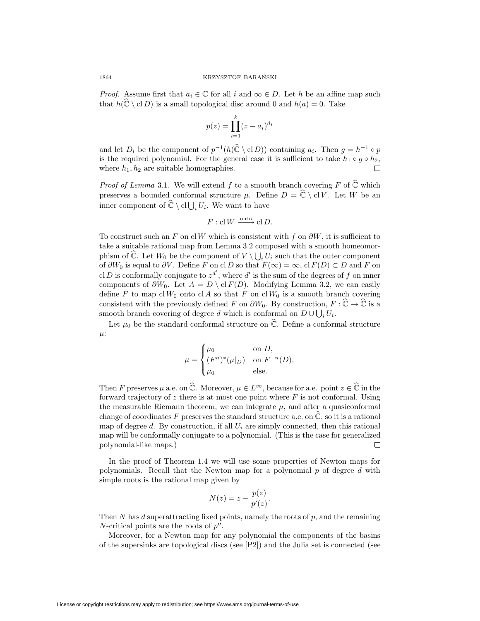*Proof.* Assume first that  $a_i \in \mathbb{C}$  for all *i* and  $\infty \in D$ . Let *h* be an affine map such that  $h(\hat{\mathbb{C}} \setminus \mathrm{cl} D)$  is a small topological disc around 0 and  $h(a) = 0$ . Take

$$
p(z) = \prod_{i=1}^{k} (z - a_i)^{d_i}
$$

and let  $D_i$  be the component of  $p^{-1}(h(\widehat{\mathbb{C}} \setminus \mathcal{cl} D))$  containing  $a_i$ . Then  $q = h^{-1} \circ p$ is the required polynomial. For the general case it is sufficient to take  $h_1 \circ q \circ h_2$ , where  $h_1, h_2$  are suitable homographies.  $\Box$ 

*Proof of Lemma* 3.1. We will extend f to a smooth branch covering F of  $\hat{\mathbb{C}}$  which preserves a bounded conformal structure  $\mu$ . Define  $D = \hat{\mathbb{C}} \setminus \text{cl} V$ . Let *W* be an inner component of  $\hat{\mathbb{C}} \setminus \text{cl}\bigcup_i U_i$ . We want to have

$$
F: \mathbf{cl} \, W \xrightarrow{\text{onto}} \mathbf{cl} \, D.
$$

To construct such an *F* on cl *W* which is consistent with *f* on *∂W*, it is sufficient to take a suitable rational map from Lemma 3.2 composed with a smooth homeomorphism of  $\widehat{\mathbb{C}}$ . Let  $W_0$  be the component of  $V \setminus \bigcup_i U_i$  such that the outer component of  $\partial W_0$  is equal to  $\partial V$ . Define *F* on cl *D* so that  $F(\infty) = \infty$ , cl  $F(D) \subset D$  and *F* on cl *D* is conformally conjugate to  $z^{d'}$ , where *d'* is the sum of the degrees of *f* on inner components of  $\partial W_0$ . Let  $A = D \setminus \text{cl } F(D)$ . Modifying Lemma 3.2, we can easily define *F* to map cl  $W_0$  onto cl *A* so that *F* on cl  $W_0$  is a smooth branch covering consistent with the previously defined *F* on  $\partial W_0$ . By construction,  $F: \widehat{\mathbb{C}} \to \widehat{\mathbb{C}}$  is a smooth branch covering of degree *d* which is conformal on  $D \cup \bigcup_i U_i$ .

Let  $\mu_0$  be the standard conformal structure on  $\hat{\mathbb{C}}$ . Define a conformal structure *µ*:

$$
\mu = \begin{cases} \mu_0 & \text{on } D, \\ (F^n)^*(\mu|_D) & \text{on } F^{-n}(D), \\ \mu_0 & \text{else.} \end{cases}
$$

Then *F* preserves  $\mu$  a.e. on  $\widehat{\mathbb{C}}$ . Moreover,  $\mu \in L^{\infty}$ , because for a.e. point  $z \in \widehat{\mathbb{C}}$  in the forward trajectory of *z* there is at most one point where *F* is not conformal. Using the measurable Riemann theorem, we can integrate  $\mu$ , and after a quasiconformal change of coordinates F preserves the standard structure a.e. on  $\tilde{\mathbb{C}}$ , so it is a rational map of degree  $d$ . By construction, if all  $U_i$  are simply connected, then this rational map will be conformally conjugate to a polynomial. (This is the case for generalized polynomial-like maps.)  $\Box$ 

In the proof of Theorem 1.4 we will use some properties of Newton maps for polynomials. Recall that the Newton map for a polynomial *p* of degree *d* with simple roots is the rational map given by

$$
N(z) = z - \frac{p(z)}{p'(z)}.
$$

Then *N* has *d* superattracting fixed points, namely the roots of *p*, and the remaining *N*-critical points are the roots of  $p''$ .

Moreover, for a Newton map for any polynomial the components of the basins of the supersinks are topological discs (see [P2]) and the Julia set is connected (see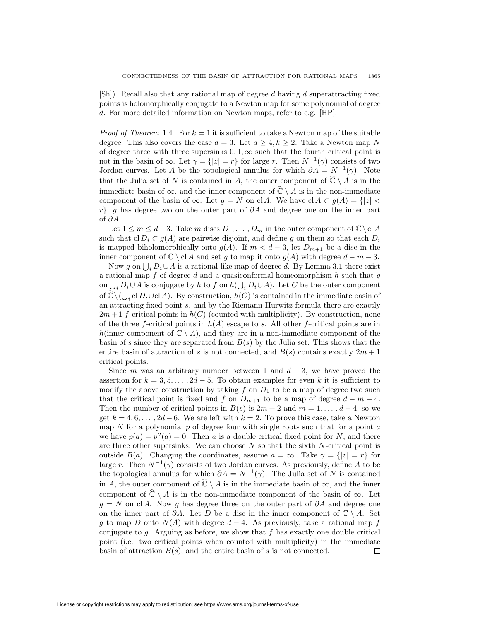[Sh]). Recall also that any rational map of degree *d* having *d* superattracting fixed points is holomorphically conjugate to a Newton map for some polynomial of degree *d*. For more detailed information on Newton maps, refer to e.g. [HP].

*Proof of Theorem* 1.4. For  $k = 1$  it is sufficient to take a Newton map of the suitable degree. This also covers the case  $d = 3$ . Let  $d \geq 4, k \geq 2$ . Take a Newton map N of degree three with three supersinks  $0, 1, \infty$  such that the fourth critical point is not in the basin of  $\infty$ . Let  $\gamma = \{|z| = r\}$  for large *r*. Then  $N^{-1}(\gamma)$  consists of two Jordan curves. Let *A* be the topological annulus for which  $\partial A = N^{-1}(\gamma)$ . Note that the Julia set of *N* is contained in *A*, the outer component of  $\widehat{\mathbb{C}} \setminus A$  is in the immediate basin of  $\infty$ , and the inner component of  $\widehat{\mathbb{C}} \setminus A$  is in the non-immediate component of the basin of  $\infty$ . Let  $q = N$  on cl *A*. We have cl  $A \subset q(A) = \{|z| < \infty$ *r*<sup>}</sup>; *g* has degree two on the outer part of  $\partial A$  and degree one on the inner part of *∂A*.

Let  $1 \leq m \leq d-3$ . Take *m* discs  $D_1, \ldots, D_m$  in the outer component of  $\mathbb{C} \setminus \mathbb{C}$  *A* such that  $\text{cl } D_i \subset g(A)$  are pairwise disjoint, and define g on them so that each  $D_i$ is mapped biholomorphically onto  $g(A)$ . If  $m < d-3$ , let  $D_{m+1}$  be a disc in the inner component of  $\mathbb{C} \setminus \mathrm{cl} A$  and set *g* to map it onto  $g(A)$  with degree  $d - m - 3$ .

Now *g* on  $\bigcup_i D_i \cup A$  is a rational-like map of degree *d*. By Lemma 3.1 there exist a rational map *f* of degree *d* and a quasiconformal homeomorphism *h* such that *g* on  $\bigcup_i D_i \cup A$  is conjugate by *h* to *f* on  $h(\bigcup_i D_i \cup A)$ . Let *C* be the outer component of  $\hat{\mathbb{C}} \setminus (\bigcup_i \mathrm{cl} D_i \cup \mathrm{cl} A)$ . By construction,  $h(C)$  is contained in the immediate basin of an attracting fixed point *s*, and by the Riemann-Hurwitz formula there are exactly  $2m+1$  *f*-critical points in  $h(C)$  (counted with multiplicity). By construction, none of the three *f*-critical points in *h*(*A*) escape to *s*. All other *f*-critical points are in *h*(inner component of  $\mathbb{C} \setminus A$ ), and they are in a non-immediate component of the basin of *s* since they are separated from *B*(*s*) by the Julia set. This shows that the entire basin of attraction of *s* is not connected, and  $B(s)$  contains exactly  $2m + 1$ critical points.

Since *m* was an arbitrary number between 1 and  $d-3$ , we have proved the assertion for  $k = 3, 5, \ldots, 2d - 5$ . To obtain examples for even k it is sufficient to modify the above construction by taking  $f$  on  $D_1$  to be a map of degree two such that the critical point is fixed and *f* on  $D_{m+1}$  to be a map of degree  $d - m - 4$ . Then the number of critical points in  $B(s)$  is  $2m + 2$  and  $m = 1, \ldots, d - 4$ , so we get  $k = 4, 6, \ldots, 2d - 6$ . We are left with  $k = 2$ . To prove this case, take a Newton map *N* for a polynomial *p* of degree four with single roots such that for a point *a* we have  $p(a) = p''(a) = 0$ . Then *a* is a double critical fixed point for *N*, and there are three other supersinks. We can choose *N* so that the sixth *N*-critical point is outside  $B(a)$ . Changing the coordinates, assume  $a = \infty$ . Take  $\gamma = \{|z| = r\}$  for large *r*. Then  $N^{-1}(\gamma)$  consists of two Jordan curves. As previously, define *A* to be the topological annulus for which  $\partial A = N^{-1}(\gamma)$ . The Julia set of *N* is contained in *A*, the outer component of  $\widehat{\mathbb{C}} \setminus A$  is in the immediate basin of  $\infty$ , and the inner component of  $\hat{\mathbb{C}} \setminus A$  is in the non-immediate component of the basin of  $\infty$ . Let  $g = N$  on cl *A*. Now *g* has degree three on the outer part of  $\partial A$  and degree one on the inner part of  $\partial A$ . Let *D* be a disc in the inner component of  $\mathbb{C} \setminus A$ . Set *g* to map *D* onto  $N(A)$  with degree  $d-4$ . As previously, take a rational map *f* conjugate to *g*. Arguing as before, we show that *f* has exactly one double critical point (i.e. two critical points when counted with multiplicity) in the immediate basin of attraction  $B(s)$ , and the entire basin of  $s$  is not connected. 口